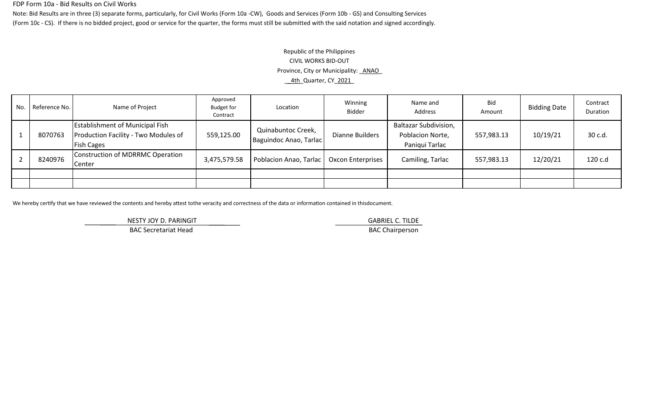#### FDP Form 10a - Bid Results on Civil Works

Note: Bid Results are in three (3) separate forms, particularly, for Civil Works (Form 10a -CW), Goods and Services (Form 10b - GS) and Consulting Services (Form 10c - CS). If there is no bidded project, good or service for the quarter, the forms must still be submitted with the said notation and signed accordingly.

# Republic of the Philippines CIVIL WORKS BID-OUT Province, City or Municipality: ANAO \_\_4th\_Quarter, CY\_2021\_

| No. | Reference No. | Name of Project                                                                                     | Approved<br><b>Budget for</b><br>Contract | Location                                     | Winning<br><b>Bidder</b> | Name and<br>Address                                                | Bid<br>Amount | <b>Bidding Date</b> | Contract<br><b>Duration</b> |
|-----|---------------|-----------------------------------------------------------------------------------------------------|-------------------------------------------|----------------------------------------------|--------------------------|--------------------------------------------------------------------|---------------|---------------------|-----------------------------|
|     | 8070763       | <b>Establishment of Municipal Fish</b><br>Production Facility - Two Modules of<br><b>Fish Cages</b> | 559,125.00                                | Quinabuntoc Creek,<br>Baguindoc Anao, Tarlac | Dianne Builders          | <b>Baltazar Subdivision,</b><br>Poblacion Norte,<br>Paniqui Tarlac | 557,983.13    | 10/19/21            | 30 c.d.                     |
|     | 8240976       | Construction of MDRRMC Operation<br>Center                                                          | 3,475,579.58                              | Poblacion Anao, Tarlac                       | <b>Oxcon Enterprises</b> | Camiling, Tarlac                                                   | 557,983.13    | 12/20/21            | 120 c.d                     |
|     |               |                                                                                                     |                                           |                                              |                          |                                                                    |               |                     |                             |
|     |               |                                                                                                     |                                           |                                              |                          |                                                                    |               |                     |                             |

We hereby certify that we have reviewed the contents and hereby attest tothe veracity and correctness of the data or information contained in thisdocument.

NESTY JOY D. PARINGIT **GABRIEL C. TILDE** 

BAC Secretariat Head BAC Chairperson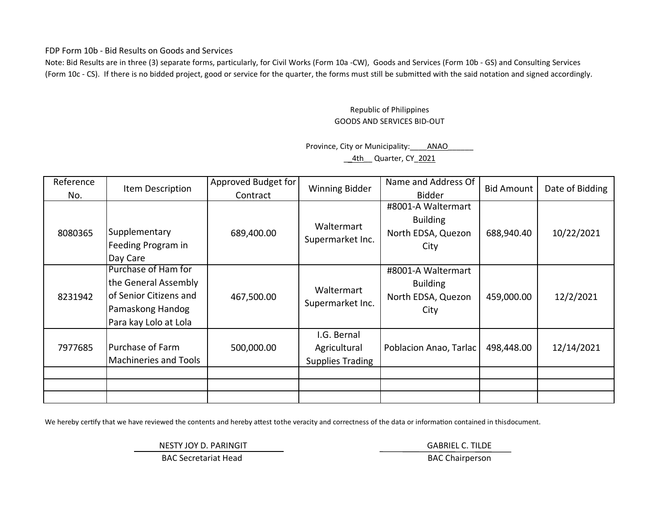FDP Form 10b - Bid Results on Goods and Services

Note: Bid Results are in three (3) separate forms, particularly, for Civil Works (Form 10a -CW), Goods and Services (Form 10b - GS) and Consulting Services (Form 10c - CS). If there is no bidded project, good or service for the quarter, the forms must still be submitted with the said notation and signed accordingly.

### Republic of Philippines GOODS AND SERVICES BID-OUT

### Province, City or Municipality: \_\_\_\_\_\_ ANAO \_\_4th\_\_ Quarter, CY\_2021

| Reference<br>No. | Item Description                                                                                                   | Approved Budget for<br>Contract | <b>Winning Bidder</b>                                  | Name and Address Of<br><b>Bidder</b>                                | <b>Bid Amount</b> | Date of Bidding |
|------------------|--------------------------------------------------------------------------------------------------------------------|---------------------------------|--------------------------------------------------------|---------------------------------------------------------------------|-------------------|-----------------|
| 8080365          | Supplementary<br>Feeding Program in<br>Day Care                                                                    | 689,400.00                      | Waltermart<br>Supermarket Inc.                         | #8001-A Waltermart<br><b>Building</b><br>North EDSA, Quezon<br>City | 688,940.40        | 10/22/2021      |
| 8231942          | Purchase of Ham for<br>the General Assembly<br>of Senior Citizens and<br>Pamaskong Handog<br>Para kay Lolo at Lola | 467,500.00                      | Waltermart<br>Supermarket Inc.                         | #8001-A Waltermart<br><b>Building</b><br>North EDSA, Quezon<br>City | 459,000.00        | 12/2/2021       |
| 7977685          | Purchase of Farm<br>Machineries and Tools                                                                          | 500,000.00                      | I.G. Bernal<br>Agricultural<br><b>Supplies Trading</b> | Poblacion Anao, Tarlac                                              | 498,448.00        | 12/14/2021      |
|                  |                                                                                                                    |                                 |                                                        |                                                                     |                   |                 |
|                  |                                                                                                                    |                                 |                                                        |                                                                     |                   |                 |

We hereby certify that we have reviewed the contents and hereby attest tothe veracity and correctness of the data or information contained in thisdocument.

NESTY JOY D. PARINGIT **GABRIEL C. TILDE** 

BAC Secretariat Head BAC Chairperson